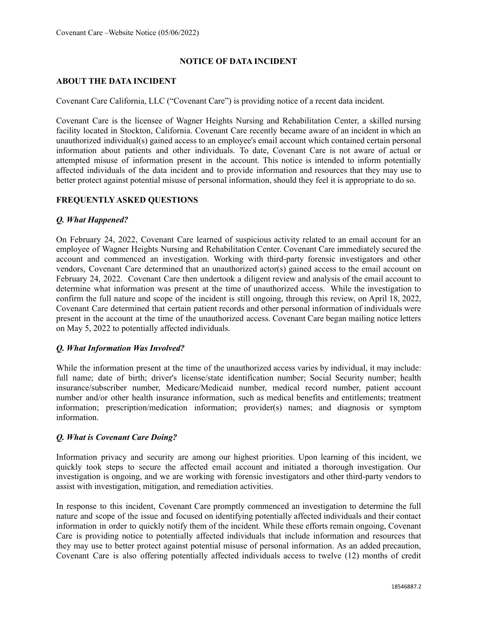## **NOTICE OF DATA INCIDENT**

### **ABOUT THE DATA INCIDENT**

Covenant Care California, LLC ("Covenant Care") is providing notice of a recent data incident.

Covenant Care is the licensee of Wagner Heights Nursing and Rehabilitation Center, a skilled nursing facility located in Stockton, California. Covenant Care recently became aware of an incident in which an unauthorized individual(s) gained access to an employee's email account which contained certain personal information about patients and other individuals. To date, Covenant Care is not aware of actual or attempted misuse of information present in the account. This notice is intended to inform potentially affected individuals of the data incident and to provide information and resources that they may use to better protect against potential misuse of personal information, should they feel it is appropriate to do so.

## **FREQUENTLY ASKED QUESTIONS**

#### *Q. What Happened?*

On February 24, 2022, Covenant Care learned of suspicious activity related to an email account for an employee of Wagner Heights Nursing and Rehabilitation Center. Covenant Care immediately secured the account and commenced an investigation. Working with third-party forensic investigators and other vendors, Covenant Care determined that an unauthorized actor(s) gained access to the email account on February 24, 2022. Covenant Care then undertook a diligent review and analysis of the email account to determine what information was present at the time of unauthorized access. While the investigation to confirm the full nature and scope of the incident is still ongoing, through this review, on April 18, 2022, Covenant Care determined that certain patient records and other personal information of individuals were present in the account at the time of the unauthorized access. Covenant Care began mailing notice letters on May 5, 2022 to potentially affected individuals.

# *Q. What Information Was Involved?*

While the information present at the time of the unauthorized access varies by individual, it may include: full name; date of birth; driver's license/state identification number; Social Security number; health insurance/subscriber number, Medicare/Medicaid number, medical record number, patient account number and/or other health insurance information, such as medical benefits and entitlements; treatment information; prescription/medication information; provider(s) names; and diagnosis or symptom information.

#### *Q. What is Covenant Care Doing?*

Information privacy and security are among our highest priorities. Upon learning of this incident, we quickly took steps to secure the affected email account and initiated a thorough investigation. Our investigation is ongoing, and we are working with forensic investigators and other third-party vendors to assist with investigation, mitigation, and remediation activities.

In response to this incident, Covenant Care promptly commenced an investigation to determine the full nature and scope of the issue and focused on identifying potentially affected individuals and their contact information in order to quickly notify them of the incident. While these efforts remain ongoing, Covenant Care is providing notice to potentially affected individuals that include information and resources that they may use to better protect against potential misuse of personal information. As an added precaution, Covenant Care is also offering potentially affected individuals access to twelve (12) months of credit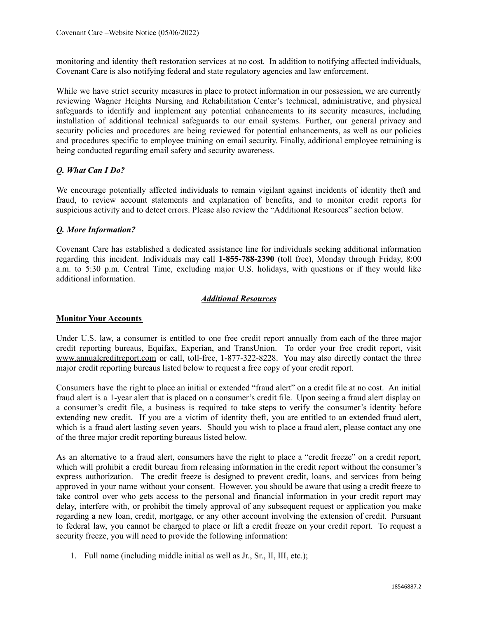monitoring and identity theft restoration services at no cost. In addition to notifying affected individuals, Covenant Care is also notifying federal and state regulatory agencies and law enforcement.

While we have strict security measures in place to protect information in our possession, we are currently reviewing Wagner Heights Nursing and Rehabilitation Center's technical, administrative, and physical safeguards to identify and implement any potential enhancements to its security measures, including installation of additional technical safeguards to our email systems. Further, our general privacy and security policies and procedures are being reviewed for potential enhancements, as well as our policies and procedures specific to employee training on email security. Finally, additional employee retraining is being conducted regarding email safety and security awareness.

## *Q. What Can I Do?*

We encourage potentially affected individuals to remain vigilant against incidents of identity theft and fraud, to review account statements and explanation of benefits, and to monitor credit reports for suspicious activity and to detect errors. Please also review the "Additional Resources" section below.

## *Q. More Information?*

Covenant Care has established a dedicated assistance line for individuals seeking additional information regarding this incident. Individuals may call **1-855-788-2390** (toll free), Monday through Friday, 8:00 a.m. to 5:30 p.m. Central Time, excluding major U.S. holidays, with questions or if they would like additional information.

#### *Additional Resources*

#### **Monitor Your Accounts**

Under U.S. law, a consumer is entitled to one free credit report annually from each of the three major credit reporting bureaus, Equifax, Experian, and TransUnion. To order your free credit report, visit www.annualcreditreport.com or call, toll-free, 1-877-322-8228. You may also directly contact the three major credit reporting bureaus listed below to request a free copy of your credit report.

Consumers have the right to place an initial or extended "fraud alert" on a credit file at no cost. An initial fraud alert is a 1-year alert that is placed on a consumer's credit file. Upon seeing a fraud alert display on a consumer's credit file, a business is required to take steps to verify the consumer's identity before extending new credit. If you are a victim of identity theft, you are entitled to an extended fraud alert, which is a fraud alert lasting seven years. Should you wish to place a fraud alert, please contact any one of the three major credit reporting bureaus listed below.

As an alternative to a fraud alert, consumers have the right to place a "credit freeze" on a credit report, which will prohibit a credit bureau from releasing information in the credit report without the consumer's express authorization. The credit freeze is designed to prevent credit, loans, and services from being approved in your name without your consent. However, you should be aware that using a credit freeze to take control over who gets access to the personal and financial information in your credit report may delay, interfere with, or prohibit the timely approval of any subsequent request or application you make regarding a new loan, credit, mortgage, or any other account involving the extension of credit. Pursuant to federal law, you cannot be charged to place or lift a credit freeze on your credit report. To request a security freeze, you will need to provide the following information:

1. Full name (including middle initial as well as Jr., Sr., II, III, etc.);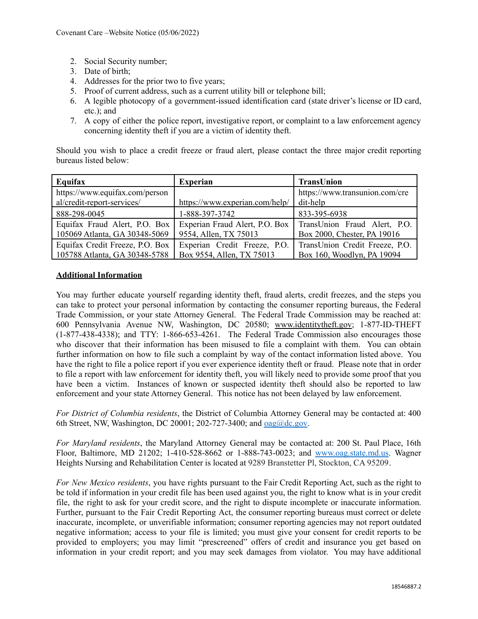- 2. Social Security number;
- 3. Date of birth;
- 4. Addresses for the prior two to five years;
- 5. Proof of current address, such as a current utility bill or telephone bill;
- 6. A legible photocopy of a government-issued identification card (state driver's license or ID card, etc.); and
- 7. A copy of either the police report, investigative report, or complaint to a law enforcement agency concerning identity theft if you are a victim of identity theft.

Should you wish to place a credit freeze or fraud alert, please contact the three major credit reporting bureaus listed below:

| Equifax                                                        | <b>Experian</b>                                         | TransUnion                                                  |
|----------------------------------------------------------------|---------------------------------------------------------|-------------------------------------------------------------|
| https://www.equifax.com/person                                 |                                                         | https://www.transunion.com/cre                              |
| al/credit-report-services/                                     | https://www.experian.com/help/                          | dit-help                                                    |
| 888-298-0045                                                   | 1-888-397-3742                                          | 833-395-6938                                                |
| Equifax Fraud Alert, P.O. Box<br>105069 Atlanta, GA 30348-5069 | Experian Fraud Alert, P.O. Box<br>9554, Allen, TX 75013 | TransUnion Fraud Alert, P.O.<br>Box 2000, Chester, PA 19016 |
| Equifax Credit Freeze, P.O. Box                                | Experian Credit Freeze, P.O.                            | TransUnion Credit Freeze, P.O.                              |
| 105788 Atlanta, GA 30348-5788                                  | Box 9554, Allen, TX 75013                               | Box 160, Woodlyn, PA 19094                                  |

### **Additional Information**

You may further educate yourself regarding identity theft, fraud alerts, credit freezes, and the steps you can take to protect your personal information by contacting the consumer reporting bureaus, the Federal Trade Commission, or your state Attorney General. The Federal Trade Commission may be reached at: 600 Pennsylvania Avenue NW, Washington, DC 20580; www.identitytheft.gov; 1-877-ID-THEFT (1-877-438-4338); and TTY: 1-866-653-4261. The Federal Trade Commission also encourages those who discover that their information has been misused to file a complaint with them. You can obtain further information on how to file such a complaint by way of the contact information listed above. You have the right to file a police report if you ever experience identity theft or fraud. Please note that in order to file a report with law enforcement for identity theft, you will likely need to provide some proof that you have been a victim. Instances of known or suspected identity theft should also be reported to law enforcement and your state Attorney General. This notice has not been delayed by law enforcement.

*For District of Columbia residents*, the District of Columbia Attorney General may be contacted at: 400 6th Street, NW, Washington, DC 20001; 202-727-3400; and  $\alpha$ ag $\omega$ dc.gov.

*For Maryland residents*, the Maryland Attorney General may be contacted at: 200 St. Paul Place, 16th Floor, Baltimore, MD 21202; 1-410-528-8662 or 1-888-743-0023; and [www.oag.state.md.us.](http://www.oag.state.md.us) Wagner Heights Nursing and Rehabilitation Center is located at 9289 Branstetter Pl, Stockton, CA 95209.

*For New Mexico residents*, you have rights pursuant to the Fair Credit Reporting Act, such as the right to be told if information in your credit file has been used against you, the right to know what is in your credit file, the right to ask for your credit score, and the right to dispute incomplete or inaccurate information. Further, pursuant to the Fair Credit Reporting Act, the consumer reporting bureaus must correct or delete inaccurate, incomplete, or unverifiable information; consumer reporting agencies may not report outdated negative information; access to your file is limited; you must give your consent for credit reports to be provided to employers; you may limit "prescreened" offers of credit and insurance you get based on information in your credit report; and you may seek damages from violator. You may have additional